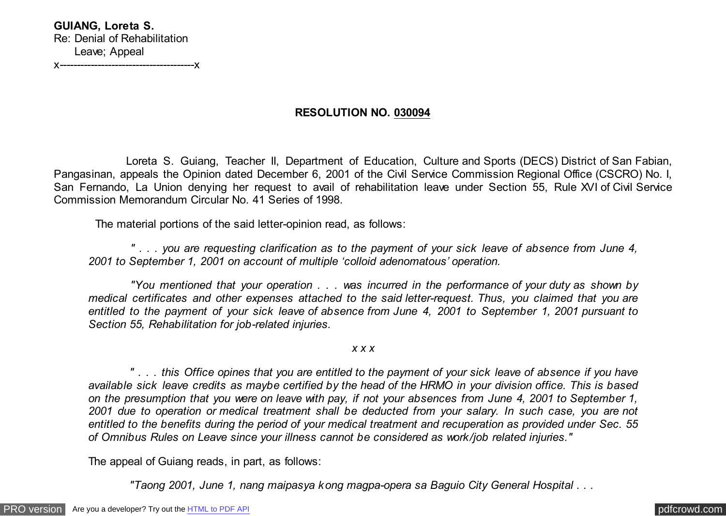**RESOLUTION NO. 030094**

 Loreta S. Guiang, Teacher II, Department of Education, Culture and Sports (DECS) District of San Fabian, Pangasinan, appeals the Opinion dated December 6, 2001 of the Civil Service Commission Regional Office (CSCRO) No. I, San Fernando, La Union denying her request to avail of rehabilitation leave under Section 55, Rule XVI of Civil Service Commission Memorandum Circular No. 41 Series of 1998.

The material portions of the said letter-opinion read, as follows:

 *" . . . you are requesting clarification as to the payment of your sick leave of absence from June 4, 2001 to September 1, 2001 on account of multiple 'colloid adenomatous' operation.*

 *"You mentioned that your operation . . . was incurred in the performance of your duty as shown by medical certificates and other expenses attached to the said letter-request. Thus, you claimed that you are entitled to the payment of your sick leave of absence from June 4, 2001 to September 1, 2001 pursuant to Section 55, Rehabilitation for job-related injuries.*

*x x x*

 *" . . . this Office opines that you are entitled to the payment of your sick leave of absence if you have available sick leave credits as maybe certified by the head of the HRMO in your division office. This is based on the presumption that you were on leave with pay, if not your absences from June 4, 2001 to September 1, 2001 due to operation or medical treatment shall be deducted from your salary. In such case, you are not entitled to the benefits during the period of your medical treatment and recuperation as provided under Sec. 55 of Omnibus Rules on Leave since your illness cannot be considered as work/job related injuries."*

The appeal of Guiang reads, in part, as follows:

 *"Taong 2001, June 1, nang maipasya kong magpa-opera sa Baguio City General Hospital . . .*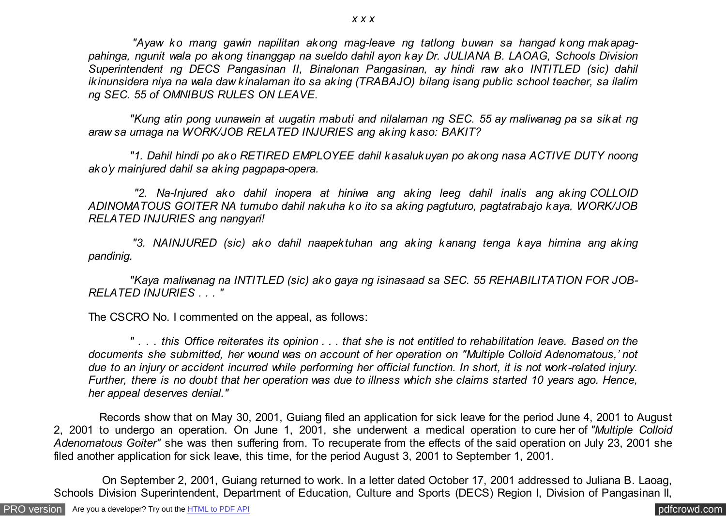*"Ayaw ko mang gawin napilitan akong mag-leave ng tatlong buwan sa hangad kong makapagpahinga, ngunit wala po akong tinanggap na sueldo dahil ayon kay Dr. JULIANA B. LAOAG, Schools Division Superintendent ng DECS Pangasinan II, Binalonan Pangasinan, ay hindi raw ako INTITLED (sic) dahil ikinunsidera niya na wala daw kinalaman ito sa aking (TRABAJO) bilang isang public school teacher, sa ilalim ng SEC. 55 of OMNIBUS RULES ON LEAVE.*

 *"Kung atin pong uunawain at uugatin mabuti and nilalaman ng SEC. 55 ay maliwanag pa sa sikat ng araw sa umaga na WORK/JOB RELATED INJURIES ang aking kaso: BAKIT?*

 *"1. Dahil hindi po ako RETIRED EMPLOYEE dahil kasalukuyan po akong nasa ACTIVE DUTY noong ako'y mainjured dahil sa aking pagpapa-opera.*

 *"2. Na-Injured ako dahil inopera at hiniwa ang aking leeg dahil inalis ang aking COLLOID ADINOMATOUS GOITER NA tumubo dahil nakuha ko ito sa aking pagtuturo, pagtatrabajo kaya, WORK/JOB RELATED INJURIES ang nangyari!*

 *"3. NAINJURED (sic) ako dahil naapektuhan ang aking kanang tenga kaya himina ang aking pandinig.*

 *"Kaya maliwanag na INTITLED (sic) ako gaya ng isinasaad sa SEC. 55 REHABILITATION FOR JOB-RELATED INJURIES . . . "*

The CSCRO No. I commented on the appeal, as follows:

 *" . . . this Office reiterates its opinion . . . that she is not entitled to rehabilitation leave. Based on the documents she submitted, her wound was on account of her operation on "Multiple Colloid Adenomatous,' not due to an injury or accident incurred while performing her official function. In short, it is not work-related injury. Further, there is no doubt that her operation was due to illness which she claims started 10 years ago. Hence, her appeal deserves denial."*

 Records show that on May 30, 2001, Guiang filed an application for sick leave for the period June 4, 2001 to August 2, 2001 to undergo an operation. On June 1, 2001, she underwent a medical operation to cure her of *"Multiple Colloid Adenomatous Goiter"* she was then suffering from. To recuperate from the effects of the said operation on July 23, 2001 she filed another application for sick leave, this time, for the period August 3, 2001 to September 1, 2001.

 On September 2, 2001, Guiang returned to work. In a letter dated October 17, 2001 addressed to Juliana B. Laoag, Schools Division Superintendent, Department of Education, Culture and Sports (DECS) Region I, Division of Pangasinan II,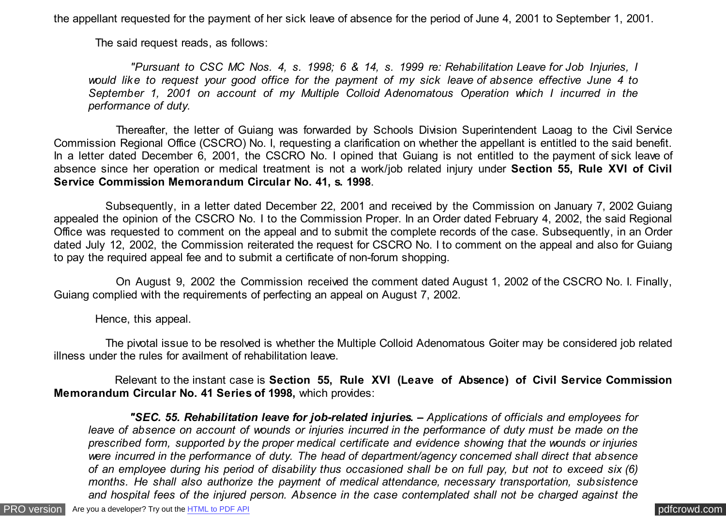the appellant requested for the payment of her sick leave of absence for the period of June 4, 2001 to September 1, 2001.

The said request reads, as follows:

 *"Pursuant to CSC MC Nos. 4, s. 1998; 6 & 14, s. 1999 re: Rehabilitation Leave for Job Injuries, I would like to request your good office for the payment of my sick leave of absence effective June 4 to September 1, 2001 on account of my Multiple Colloid Adenomatous Operation which I incurred in the performance of duty.*

 Thereafter, the letter of Guiang was forwarded by Schools Division Superintendent Laoag to the Civil Service Commission Regional Office (CSCRO) No. I, requesting a clarification on whether the appellant is entitled to the said benefit. In a letter dated December 6, 2001, the CSCRO No. I opined that Guiang is not entitled to the payment of sick leave of absence since her operation or medical treatment is not a work/job related injury under **Section 55, Rule XVI of Civil Service Commission Memorandum Circular No. 41, s. 1998**.

 Subsequently, in a letter dated December 22, 2001 and received by the Commission on January 7, 2002 Guiang appealed the opinion of the CSCRO No. I to the Commission Proper. In an Order dated February 4, 2002, the said Regional Office was requested to comment on the appeal and to submit the complete records of the case. Subsequently, in an Order dated July 12, 2002, the Commission reiterated the request for CSCRO No. I to comment on the appeal and also for Guiang to pay the required appeal fee and to submit a certificate of non-forum shopping.

 On August 9, 2002 the Commission received the comment dated August 1, 2002 of the CSCRO No. I. Finally, Guiang complied with the requirements of perfecting an appeal on August 7, 2002.

Hence, this appeal.

 The pivotal issue to be resolved is whether the Multiple Colloid Adenomatous Goiter may be considered job related illness under the rules for availment of rehabilitation leave.

 Relevant to the instant case is **Section 55, Rule XVI (Leave of Absence) of Civil Service Commission Memorandum Circular No. 41 Series of 1998,** which provides:

 *"SEC. 55. Rehabilitation leave for job-related injuries. – Applications of officials and employees for leave of absence on account of wounds or injuries incurred in the performance of duty must be made on the prescribed form, supported by the proper medical certificate and evidence showing that the wounds or injuries were incurred in the performance of duty. The head of department/agency concerned shall direct that absence of an employee during his period of disability thus occasioned shall be on full pay, but not to exceed six (6) months. He shall also authorize the payment of medical attendance, necessary transportation, subsistence and hospital fees of the injured person. Absence in the case contemplated shall not be charged against the*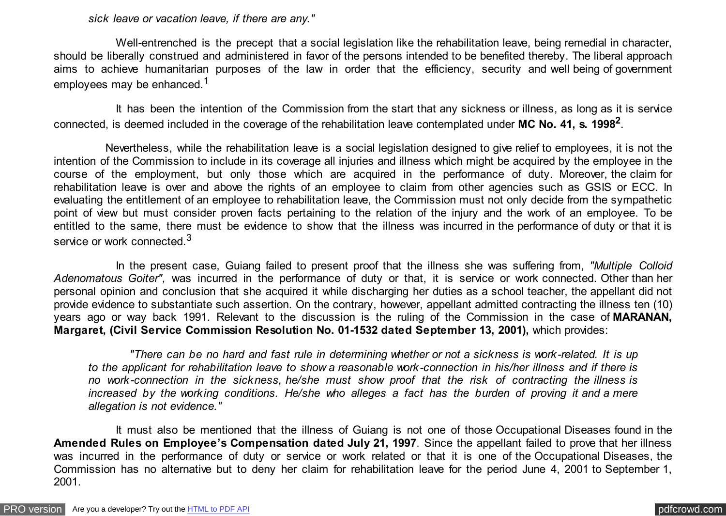*sick leave or vacation leave, if there are any."*

 Well-entrenched is the precept that a social legislation like the rehabilitation leave, being remedial in character, should be liberally construed and administered in favor of the persons intended to be benefited thereby. The liberal approach aims to achieve humanitarian purposes of the law in order that the efficiency, security and well being of government employees may be enhanced.<sup>1</sup>

 It has been the intention of the Commission from the start that any sickness or illness, as long as it is service connected, is deemed included in the coverage of the rehabilitation leave contemplated under **MC No. 41, s. 1998<sup>2</sup>** .

 Nevertheless, while the rehabilitation leave is a social legislation designed to give relief to employees, it is not the intention of the Commission to include in its coverage all injuries and illness which might be acquired by the employee in the course of the employment, but only those which are acquired in the performance of duty. Moreover, the claim for rehabilitation leave is over and above the rights of an employee to claim from other agencies such as GSIS or ECC. In evaluating the entitlement of an employee to rehabilitation leave, the Commission must not only decide from the sympathetic point of view but must consider proven facts pertaining to the relation of the injury and the work of an employee. To be entitled to the same, there must be evidence to show that the illness was incurred in the performance of duty or that it is service or work connected.<sup>3</sup>

 In the present case, Guiang failed to present proof that the illness she was suffering from, *"Multiple Colloid* Adenomatous Goiter", was incurred in the performance of duty or that, it is service or work connected. Other than her personal opinion and conclusion that she acquired it while discharging her duties as a school teacher, the appellant did not provide evidence to substantiate such assertion. On the contrary, however, appellant admitted contracting the illness ten (10) years ago or way back 1991. Relevant to the discussion is the ruling of the Commission in the case of **MARANAN, Margaret, (Civil Service Commission Resolution No. 01-1532 dated September 13, 2001),** which provides:

 *"There can be no hard and fast rule in determining whether or not a sickness is work-related. It is up to the applicant for rehabilitation leave to show a reasonable work-connection in his/her illness and if there is no work-connection in the sickness, he/she must show proof that the risk of contracting the illness is increased by the working conditions. He/she who alleges a fact has the burden of proving it and a mere allegation is not evidence."*

 It must also be mentioned that the illness of Guiang is not one of those Occupational Diseases found in the **Amended Rules on Employee's Compensation dated July 21, 1997**. Since the appellant failed to prove that her illness was incurred in the performance of duty or service or work related or that it is one of the Occupational Diseases, the Commission has no alternative but to deny her claim for rehabilitation leave for the period June 4, 2001 to September 1, 2001.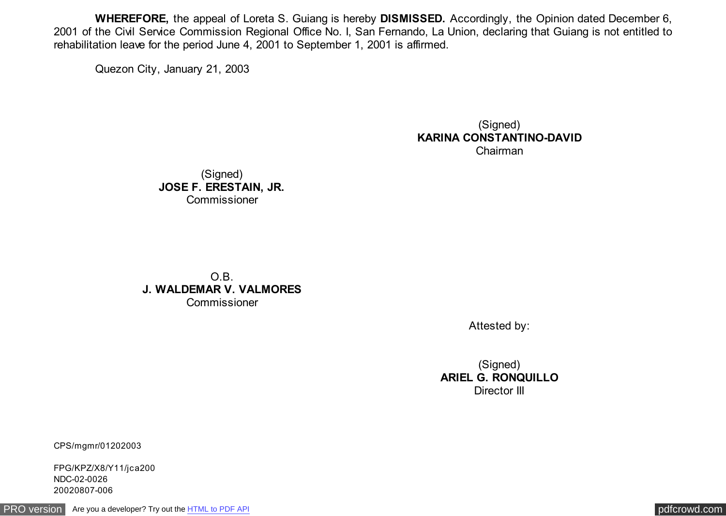**WHEREFORE,** the appeal of Loreta S. Guiang is hereby **DISMISSED.** Accordingly, the Opinion dated December 6, 2001 of the Civil Service Commission Regional Office No. I, San Fernando, La Union, declaring that Guiang is not entitled to rehabilitation leave for the period June 4, 2001 to September 1, 2001 is affirmed.

Quezon City, January 21, 2003

(Signed) **KARINA CONSTANTINO-DAVID** Chairman

(Signed) **JOSE F. ERESTAIN, JR.** Commissioner

O.B. **J. WALDEMAR V. VALMORES Commissioner** 

Attested by:

(Signed) **ARIEL G. RONQUILLO** Director III

CPS/mgmr/01202003

FPG/KPZ/X8/Y11/jca200 NDC-02-0026 20020807-006

[PRO version](http://pdfcrowd.com/customize/) Are you a developer? Try out th[e HTML to PDF API](http://pdfcrowd.com/html-to-pdf-api/?ref=pdf) compared to the CHTML of PDF API [pdfcrowd.com](http://pdfcrowd.com)